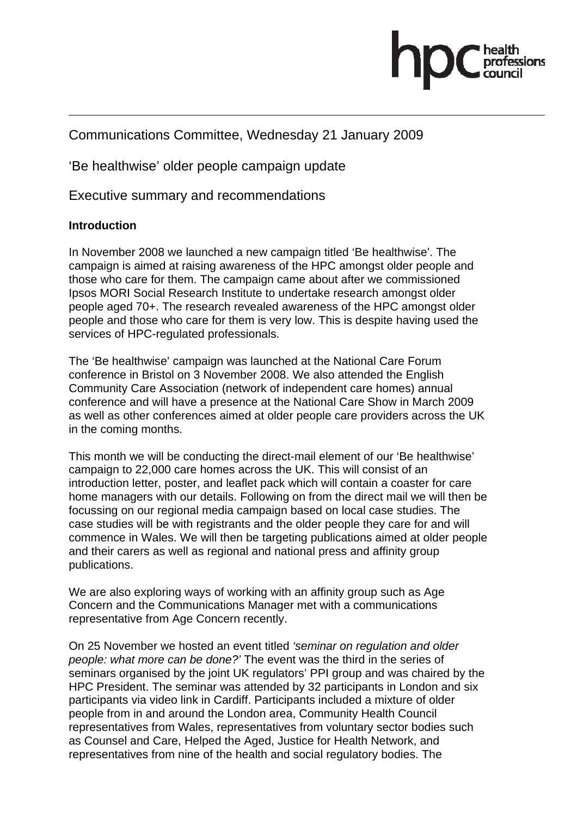

# Communications Committee, Wednesday 21 January 2009

'Be healthwise' older people campaign update

Executive summary and recommendations

# **Introduction**

In November 2008 we launched a new campaign titled 'Be healthwise'. The campaign is aimed at raising awareness of the HPC amongst older people and those who care for them. The campaign came about after we commissioned Ipsos MORI Social Research Institute to undertake research amongst older people aged 70+. The research revealed awareness of the HPC amongst older people and those who care for them is very low. This is despite having used the services of HPC-regulated professionals.

The 'Be healthwise' campaign was launched at the National Care Forum conference in Bristol on 3 November 2008. We also attended the English Community Care Association (network of independent care homes) annual conference and will have a presence at the National Care Show in March 2009 as well as other conferences aimed at older people care providers across the UK in the coming months.

This month we will be conducting the direct-mail element of our 'Be healthwise' campaign to 22,000 care homes across the UK. This will consist of an introduction letter, poster, and leaflet pack which will contain a coaster for care home managers with our details. Following on from the direct mail we will then be focussing on our regional media campaign based on local case studies. The case studies will be with registrants and the older people they care for and will commence in Wales. We will then be targeting publications aimed at older people and their carers as well as regional and national press and affinity group publications.

We are also exploring ways of working with an affinity group such as Age Concern and the Communications Manager met with a communications representative from Age Concern recently.

On 25 November we hosted an event titled *'seminar on regulation and older people: what more can be done?'* The event was the third in the series of seminars organised by the joint UK regulators' PPI group and was chaired by the HPC President. The seminar was attended by 32 participants in London and six participants via video link in Cardiff. Participants included a mixture of older people from in and around the London area, Community Health Council representatives from Wales, representatives from voluntary sector bodies such as Counsel and Care, Helped the Aged, Justice for Health Network, and representatives from nine of the health and social regulatory bodies. The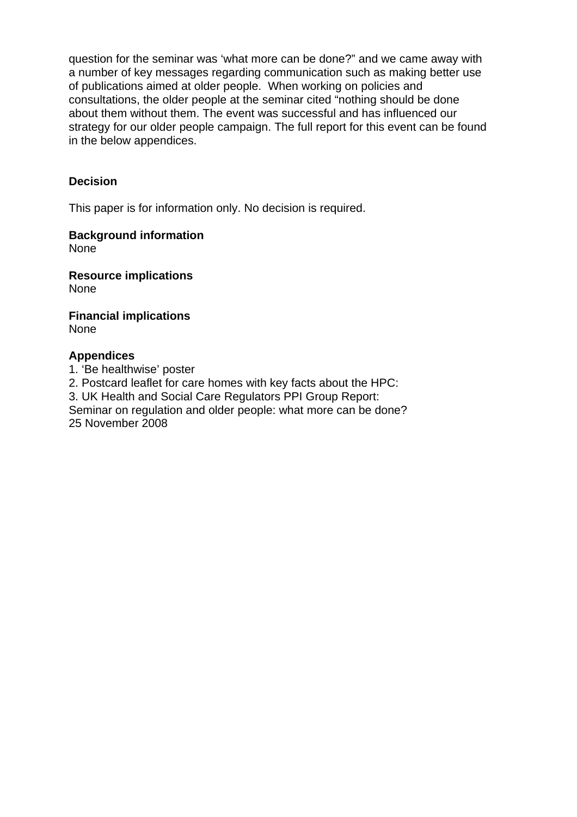question for the seminar was 'what more can be done?" and we came away with a number of key messages regarding communication such as making better use of publications aimed at older people. When working on policies and consultations, the older people at the seminar cited "nothing should be done about them without them. The event was successful and has influenced our strategy for our older people campaign. The full report for this event can be found in the below appendices.

# **Decision**

This paper is for information only. No decision is required.

**Background information**  None

**Resource implications**  None

**Financial implications**  None

## **Appendices**

1. 'Be healthwise' poster

2. Postcard leaflet for care homes with key facts about the HPC:

3. UK Health and Social Care Regulators PPI Group Report:

Seminar on regulation and older people: what more can be done? 25 November 2008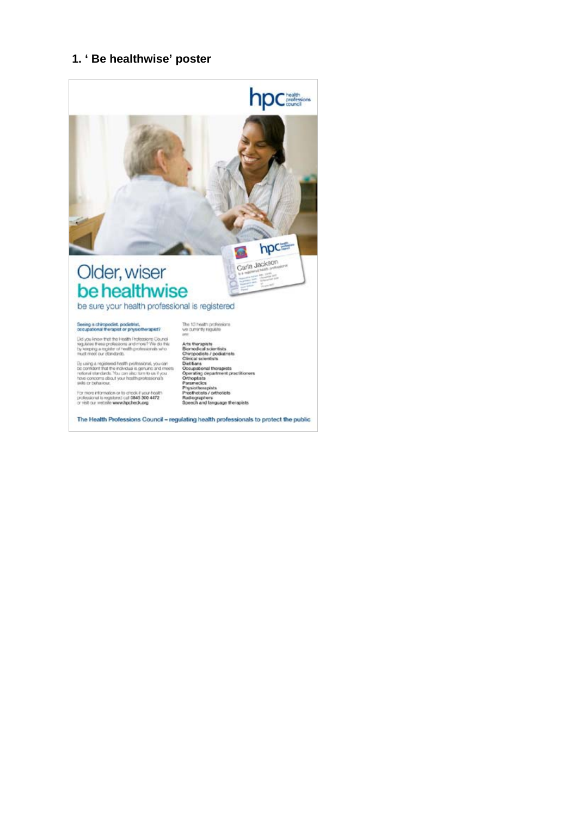# **1. ' Be healthwise' poster**



The Health Professions Council - regulating health professionals to protect the public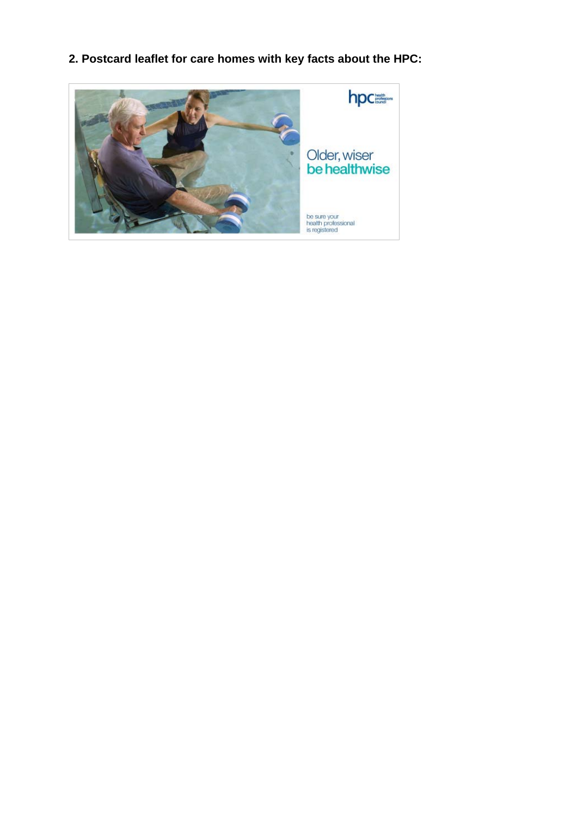**2. Postcard leaflet for care homes with key facts about the HPC:** 

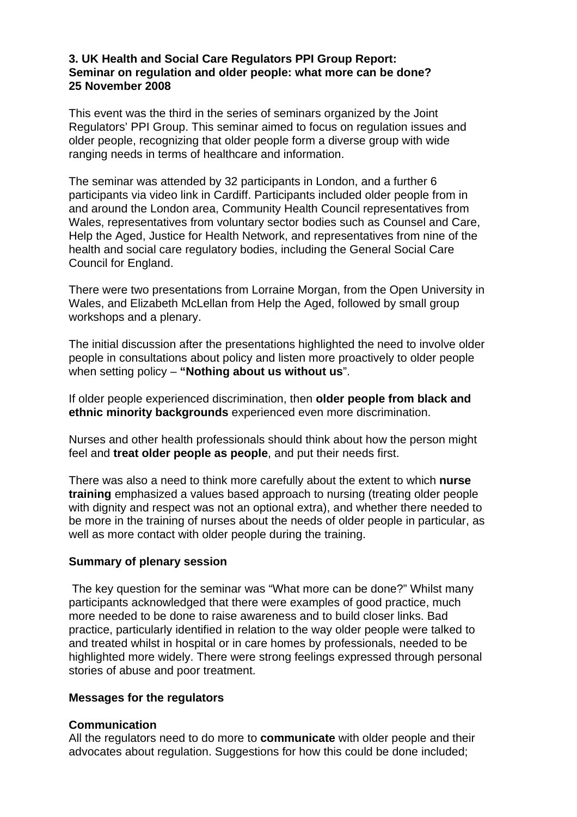### **3. UK Health and Social Care Regulators PPI Group Report: Seminar on regulation and older people: what more can be done? 25 November 2008**

This event was the third in the series of seminars organized by the Joint Regulators' PPI Group. This seminar aimed to focus on regulation issues and older people, recognizing that older people form a diverse group with wide ranging needs in terms of healthcare and information.

The seminar was attended by 32 participants in London, and a further 6 participants via video link in Cardiff. Participants included older people from in and around the London area, Community Health Council representatives from Wales, representatives from voluntary sector bodies such as Counsel and Care, Help the Aged, Justice for Health Network, and representatives from nine of the health and social care regulatory bodies, including the General Social Care Council for England.

There were two presentations from Lorraine Morgan, from the Open University in Wales, and Elizabeth McLellan from Help the Aged, followed by small group workshops and a plenary.

The initial discussion after the presentations highlighted the need to involve older people in consultations about policy and listen more proactively to older people when setting policy – **"Nothing about us without us**".

If older people experienced discrimination, then **older people from black and ethnic minority backgrounds** experienced even more discrimination.

Nurses and other health professionals should think about how the person might feel and **treat older people as people**, and put their needs first.

There was also a need to think more carefully about the extent to which **nurse training** emphasized a values based approach to nursing (treating older people with dignity and respect was not an optional extra), and whether there needed to be more in the training of nurses about the needs of older people in particular, as well as more contact with older people during the training.

## **Summary of plenary session**

 The key question for the seminar was "What more can be done?" Whilst many participants acknowledged that there were examples of good practice, much more needed to be done to raise awareness and to build closer links. Bad practice, particularly identified in relation to the way older people were talked to and treated whilst in hospital or in care homes by professionals, needed to be highlighted more widely. There were strong feelings expressed through personal stories of abuse and poor treatment.

#### **Messages for the regulators**

#### **Communication**

All the regulators need to do more to **communicate** with older people and their advocates about regulation. Suggestions for how this could be done included;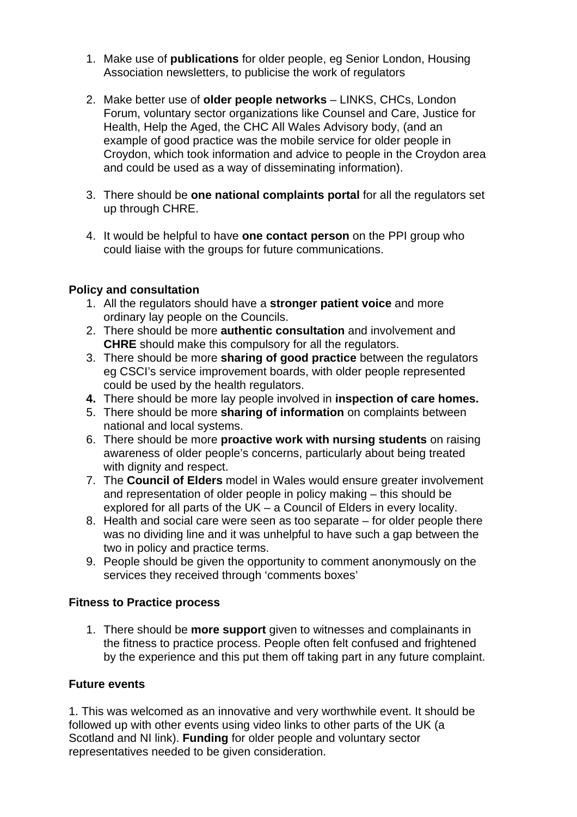- 1. Make use of **publications** for older people, eg Senior London, Housing Association newsletters, to publicise the work of regulators
- 2. Make better use of **older people networks** LINKS, CHCs, London Forum, voluntary sector organizations like Counsel and Care, Justice for Health, Help the Aged, the CHC All Wales Advisory body, (and an example of good practice was the mobile service for older people in Croydon, which took information and advice to people in the Croydon area and could be used as a way of disseminating information).
- 3. There should be **one national complaints portal** for all the regulators set up through CHRE.
- 4. It would be helpful to have **one contact person** on the PPI group who could liaise with the groups for future communications.

# **Policy and consultation**

- 1. All the regulators should have a **stronger patient voice** and more ordinary lay people on the Councils.
- 2. There should be more **authentic consultation** and involvement and **CHRE** should make this compulsory for all the regulators.
- 3. There should be more **sharing of good practice** between the regulators eg CSCI's service improvement boards, with older people represented could be used by the health regulators.
- **4.** There should be more lay people involved in **inspection of care homes.**
- 5. There should be more **sharing of information** on complaints between national and local systems.
- 6. There should be more **proactive work with nursing students** on raising awareness of older people's concerns, particularly about being treated with dignity and respect.
- 7. The **Council of Elders** model in Wales would ensure greater involvement and representation of older people in policy making – this should be explored for all parts of the UK – a Council of Elders in every locality.
- 8. Health and social care were seen as too separate for older people there was no dividing line and it was unhelpful to have such a gap between the two in policy and practice terms.
- 9. People should be given the opportunity to comment anonymously on the services they received through 'comments boxes'

## **Fitness to Practice process**

1. There should be **more support** given to witnesses and complainants in the fitness to practice process. People often felt confused and frightened by the experience and this put them off taking part in any future complaint.

## **Future events**

1. This was welcomed as an innovative and very worthwhile event. It should be followed up with other events using video links to other parts of the UK (a Scotland and NI link). **Funding** for older people and voluntary sector representatives needed to be given consideration.